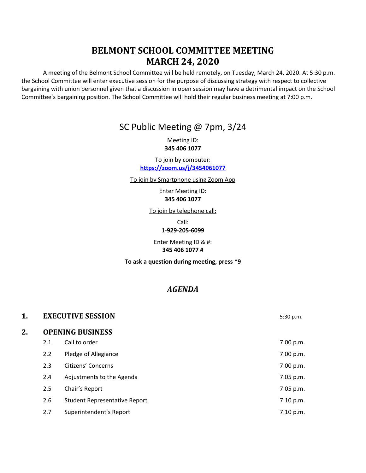# **BELMONT SCHOOL COMMITTEE MEETING MARCH 24, 2020**

A meeting of the Belmont School Committee will be held remotely, on Tuesday, March 24, 2020. At 5:30 p.m. the School Committee will enter executive session for the purpose of discussing strategy with respect to collective bargaining with union personnel given that a discussion in open session may have a detrimental impact on the School Committee's bargaining position. The School Committee will hold their regular business meeting at 7:00 p.m.

## SC Public Meeting @ 7pm, 3/24

Meeting ID: **345 406 1077**

To join by computer: **<https://zoom.us/j/3454061077>**

To join by Smartphone using Zoom App

Enter Meeting ID: **345 406 1077**

To join by telephone call:

Call:

**1-929-205-6099**

Enter Meeting ID & #: **345 406 1077 #**

**To ask a question during meeting, press \*9**

## *AGENDA*

| 1. | <b>EXECUTIVE SESSION</b> |                               | 5:30 p.m.   |  |  |
|----|--------------------------|-------------------------------|-------------|--|--|
| 2. | <b>OPENING BUSINESS</b>  |                               |             |  |  |
|    | 2.1                      | Call to order                 | 7:00 p.m.   |  |  |
|    | 2.2                      | Pledge of Allegiance          | 7:00 p.m.   |  |  |
|    | 2.3                      | Citizens' Concerns            | 7:00 p.m.   |  |  |
|    | 2.4                      | Adjustments to the Agenda     | 7:05 p.m.   |  |  |
|    | 2.5                      | Chair's Report                | 7:05 p.m.   |  |  |
|    | 2.6                      | Student Representative Report | 7:10 p.m.   |  |  |
|    | 2.7                      | Superintendent's Report       | $7:10$ p.m. |  |  |